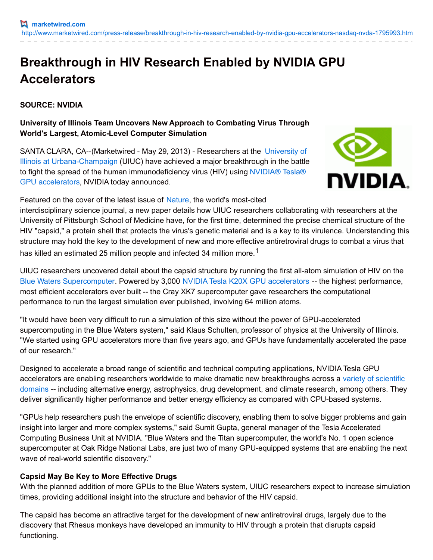# **Breakthrough in HIV Research Enabled by NVIDIA GPU Accelerators**

## **SOURCE: NVIDIA**

# **University of Illinois Team Uncovers New Approach to Combating Virus Through World's Largest, Atomic-Level Computer Simulation**

SANTA CLARA, [CA--\(Marketwired](http://ctt.marketwire.com/?release=1021428&id=3038809&type=1&url=http%3a%2f%2fwww.illinois.edu%2f) - May 29, 2013) - Researchers at the University of Illinois at Urbana-Champaign (UIUC) have achieved a major breakthrough in the battle to fight the spread of the human [immunodeficiency](http://ctt.marketwire.com/?release=1021428&id=3038812&type=1&url=http%3a%2f%2fwww.nvidia.com%2fobject%2ftesla-supercomputing-solutions.html%23source%3dpr) virus (HIV) using NVIDIA® Tesla® GPU accelerators, NVIDIA today announced.



Featured on the cover of the latest issue of [Nature](http://ctt.marketwire.com/?release=1021428&id=3038815&type=1&url=http%3a%2f%2fwww.nature.com%2fnature%2findex.html), the world's most-cited

interdisciplinary science journal, a new paper details how UIUC researchers collaborating with researchers at the University of Pittsburgh School of Medicine have, for the first time, determined the precise chemical structure of the HIV "capsid," a protein shell that protects the virus's genetic material and is a key to its virulence. Understanding this structure may hold the key to the development of new and more effective antiretroviral drugs to combat a virus that has killed an estimated 25 million people and infected 34 million more.<sup>1</sup>

UIUC researchers uncovered detail about the capsid structure by running the first all-atom simulation of HIV on the Blue Waters [Supercomputer](http://ctt.marketwire.com/?release=1021428&id=3038818&type=1&url=http%3a%2f%2fwww.ncsa.illinois.edu%2fBlueWaters%2f). Powered by 3,000 NVIDIA Tesla K20X GPU [accelerators](http://ctt.marketwire.com/?release=1021428&id=3038821&type=1&url=http%3a%2f%2fwww.nvidia.com%2fobject%2ftesla-servers.html%23source%3dpr) -- the highest performance, most efficient accelerators ever built -- the Cray XK7 supercomputer gave researchers the computational performance to run the largest simulation ever published, involving 64 million atoms.

"It would have been very difficult to run a simulation of this size without the power of GPU-accelerated supercomputing in the Blue Waters system," said Klaus Schulten, professor of physics at the University of Illinois. "We started using GPU accelerators more than five years ago, and GPUs have fundamentally accelerated the pace of our research."

Designed to accelerate a broad range of scientific and technical computing applications, NVIDIA Tesla GPU accelerators are enabling researchers worldwide to make dramatic new [breakthroughs](http://ctt.marketwire.com/?release=1021428&id=3038824&type=1&url=http%3a%2f%2fwww.nvidia.com%2fobject%2fgpu-applications-domain.html) across a variety of scientific domains -- including alternative energy, astrophysics, drug development, and climate research, among others. They deliver significantly higher performance and better energy efficiency as compared with CPU-based systems.

"GPUs help researchers push the envelope of scientific discovery, enabling them to solve bigger problems and gain insight into larger and more complex systems," said Sumit Gupta, general manager of the Tesla Accelerated Computing Business Unit at NVIDIA. "Blue Waters and the Titan supercomputer, the world's No. 1 open science supercomputer at Oak Ridge National Labs, are just two of many GPU-equipped systems that are enabling the next wave of real-world scientific discovery."

# **Capsid May Be Key to More Effective Drugs**

With the planned addition of more GPUs to the Blue Waters system, UIUC researchers expect to increase simulation times, providing additional insight into the structure and behavior of the HIV capsid.

The capsid has become an attractive target for the development of new antiretroviral drugs, largely due to the discovery that Rhesus monkeys have developed an immunity to HIV through a protein that disrupts capsid functioning.